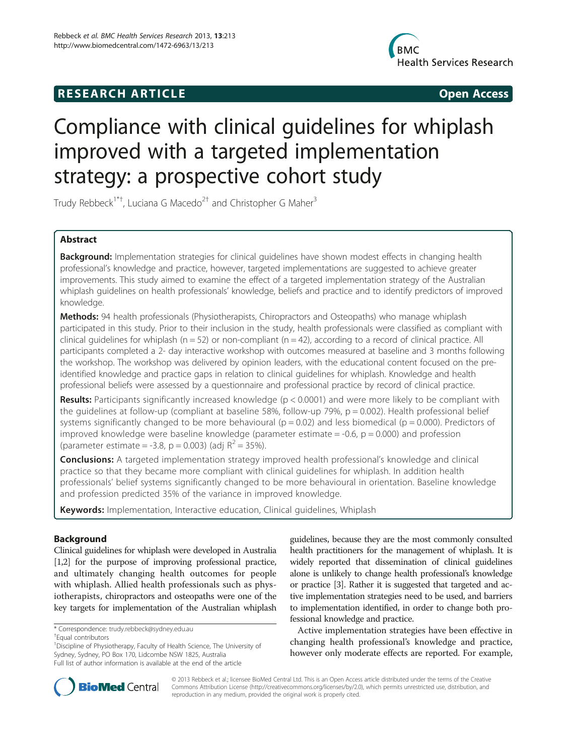# **RESEARCH ARTICLE Example 2018 12:00 Open Access**



# Compliance with clinical guidelines for whiplash improved with a targeted implementation strategy: a prospective cohort study

Trudy Rebbeck<sup>1\*†</sup>, Luciana G Macedo<sup>2†</sup> and Christopher G Maher<sup>3</sup>

# Abstract

Background: Implementation strategies for clinical guidelines have shown modest effects in changing health professional's knowledge and practice, however, targeted implementations are suggested to achieve greater improvements. This study aimed to examine the effect of a targeted implementation strategy of the Australian whiplash guidelines on health professionals' knowledge, beliefs and practice and to identify predictors of improved knowledge.

**Methods:** 94 health professionals (Physiotherapists, Chiropractors and Osteopaths) who manage whiplash participated in this study. Prior to their inclusion in the study, health professionals were classified as compliant with clinical guidelines for whiplash ( $n = 52$ ) or non-compliant ( $n = 42$ ), according to a record of clinical practice. All participants completed a 2- day interactive workshop with outcomes measured at baseline and 3 months following the workshop. The workshop was delivered by opinion leaders, with the educational content focused on the preidentified knowledge and practice gaps in relation to clinical guidelines for whiplash. Knowledge and health professional beliefs were assessed by a questionnaire and professional practice by record of clinical practice.

Results: Participants significantly increased knowledge (p < 0.0001) and were more likely to be compliant with the quidelines at follow-up (compliant at baseline 58%, follow-up 79%,  $p = 0.002$ ). Health professional belief systems significantly changed to be more behavioural ( $p = 0.02$ ) and less biomedical ( $p = 0.000$ ). Predictors of improved knowledge were baseline knowledge (parameter estimate  $=$  -0.6,  $p = 0.000$ ) and profession (parameter estimate = -3.8, p = 0.003) (adj  $R^2 = 35\%$ ).

**Conclusions:** A targeted implementation strategy improved health professional's knowledge and clinical practice so that they became more compliant with clinical guidelines for whiplash. In addition health professionals' belief systems significantly changed to be more behavioural in orientation. Baseline knowledge and profession predicted 35% of the variance in improved knowledge.

Keywords: Implementation, Interactive education, Clinical quidelines, Whiplash

# Background

Clinical guidelines for whiplash were developed in Australia [[1,2](#page-7-0)] for the purpose of improving professional practice, and ultimately changing health outcomes for people with whiplash. Allied health professionals such as physiotherapists, chiropractors and osteopaths were one of the key targets for implementation of the Australian whiplash

<sup>1</sup> Discipline of Physiotherapy, Faculty of Health Science, The University of Sydney, Sydney, PO Box 170, Lidcombe NSW 1825, Australia Full list of author information is available at the end of the article

guidelines, because they are the most commonly consulted health practitioners for the management of whiplash. It is widely reported that dissemination of clinical guidelines alone is unlikely to change health professional's knowledge or practice [[3](#page-7-0)]. Rather it is suggested that targeted and active implementation strategies need to be used, and barriers to implementation identified, in order to change both professional knowledge and practice.

Active implementation strategies have been effective in changing health professional's knowledge and practice, however only moderate effects are reported. For example,



© 2013 Rebbeck et al.; licensee BioMed Central Ltd. This is an Open Access article distributed under the terms of the Creative Commons Attribution License [\(http://creativecommons.org/licenses/by/2.0\)](http://creativecommons.org/licenses/by/2.0), which permits unrestricted use, distribution, and reproduction in any medium, provided the original work is properly cited.

<sup>\*</sup> Correspondence: [trudy.rebbeck@sydney.edu.au](mailto:trudy.rebbeck@sydney.edu.au) †

Equal contributors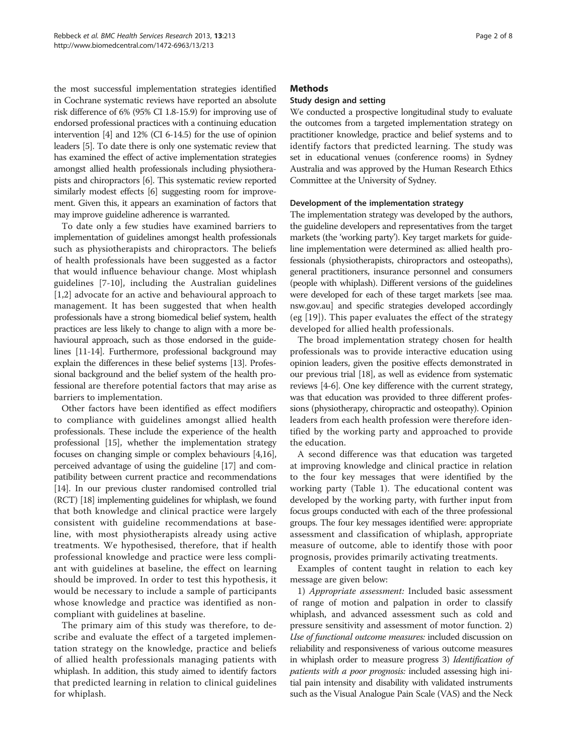the most successful implementation strategies identified in Cochrane systematic reviews have reported an absolute risk difference of 6% (95% CI 1.8-15.9) for improving use of endorsed professional practices with a continuing education intervention [[4](#page-7-0)] and 12% (CI 6-14.5) for the use of opinion leaders [[5](#page-7-0)]. To date there is only one systematic review that has examined the effect of active implementation strategies amongst allied health professionals including physiotherapists and chiropractors [[6](#page-7-0)]. This systematic review reported similarly modest effects [\[6\]](#page-7-0) suggesting room for improvement. Given this, it appears an examination of factors that may improve guideline adherence is warranted.

To date only a few studies have examined barriers to implementation of guidelines amongst health professionals such as physiotherapists and chiropractors. The beliefs of health professionals have been suggested as a factor that would influence behaviour change. Most whiplash guidelines [\[7](#page-7-0)-[10\]](#page-7-0), including the Australian guidelines [[1,2](#page-7-0)] advocate for an active and behavioural approach to management. It has been suggested that when health professionals have a strong biomedical belief system, health practices are less likely to change to align with a more behavioural approach, such as those endorsed in the guidelines [\[11-14\]](#page-7-0). Furthermore, professional background may explain the differences in these belief systems [[13](#page-7-0)]. Professional background and the belief system of the health professional are therefore potential factors that may arise as barriers to implementation.

Other factors have been identified as effect modifiers to compliance with guidelines amongst allied health professionals. These include the experience of the health professional [\[15\]](#page-7-0), whether the implementation strategy focuses on changing simple or complex behaviours [[4,16](#page-7-0)], perceived advantage of using the guideline [\[17](#page-7-0)] and compatibility between current practice and recommendations [[14](#page-7-0)]. In our previous cluster randomised controlled trial (RCT) [\[18\]](#page-7-0) implementing guidelines for whiplash, we found that both knowledge and clinical practice were largely consistent with guideline recommendations at baseline, with most physiotherapists already using active treatments. We hypothesised, therefore, that if health professional knowledge and practice were less compliant with guidelines at baseline, the effect on learning should be improved. In order to test this hypothesis, it would be necessary to include a sample of participants whose knowledge and practice was identified as noncompliant with guidelines at baseline.

The primary aim of this study was therefore, to describe and evaluate the effect of a targeted implementation strategy on the knowledge, practice and beliefs of allied health professionals managing patients with whiplash. In addition, this study aimed to identify factors that predicted learning in relation to clinical guidelines for whiplash.

# **Methods**

# Study design and setting

We conducted a prospective longitudinal study to evaluate the outcomes from a targeted implementation strategy on practitioner knowledge, practice and belief systems and to identify factors that predicted learning. The study was set in educational venues (conference rooms) in Sydney Australia and was approved by the Human Research Ethics Committee at the University of Sydney.

# Development of the implementation strategy

The implementation strategy was developed by the authors, the guideline developers and representatives from the target markets (the 'working party'). Key target markets for guideline implementation were determined as: allied health professionals (physiotherapists, chiropractors and osteopaths), general practitioners, insurance personnel and consumers (people with whiplash). Different versions of the guidelines were developed for each of these target markets [see maa. nsw.gov.au] and specific strategies developed accordingly (eg [[19\]](#page-7-0)). This paper evaluates the effect of the strategy developed for allied health professionals.

The broad implementation strategy chosen for health professionals was to provide interactive education using opinion leaders, given the positive effects demonstrated in our previous trial [[18](#page-7-0)], as well as evidence from systematic reviews [[4-6\]](#page-7-0). One key difference with the current strategy, was that education was provided to three different professions (physiotherapy, chiropractic and osteopathy). Opinion leaders from each health profession were therefore identified by the working party and approached to provide the education.

A second difference was that education was targeted at improving knowledge and clinical practice in relation to the four key messages that were identified by the working party (Table [1](#page-2-0)). The educational content was developed by the working party, with further input from focus groups conducted with each of the three professional groups. The four key messages identified were: appropriate assessment and classification of whiplash, appropriate measure of outcome, able to identify those with poor prognosis, provides primarily activating treatments.

Examples of content taught in relation to each key message are given below:

1) Appropriate assessment: Included basic assessment of range of motion and palpation in order to classify whiplash, and advanced assessment such as cold and pressure sensitivity and assessment of motor function. 2) Use of functional outcome measures: included discussion on reliability and responsiveness of various outcome measures in whiplash order to measure progress 3) Identification of patients with a poor prognosis: included assessing high initial pain intensity and disability with validated instruments such as the Visual Analogue Pain Scale (VAS) and the Neck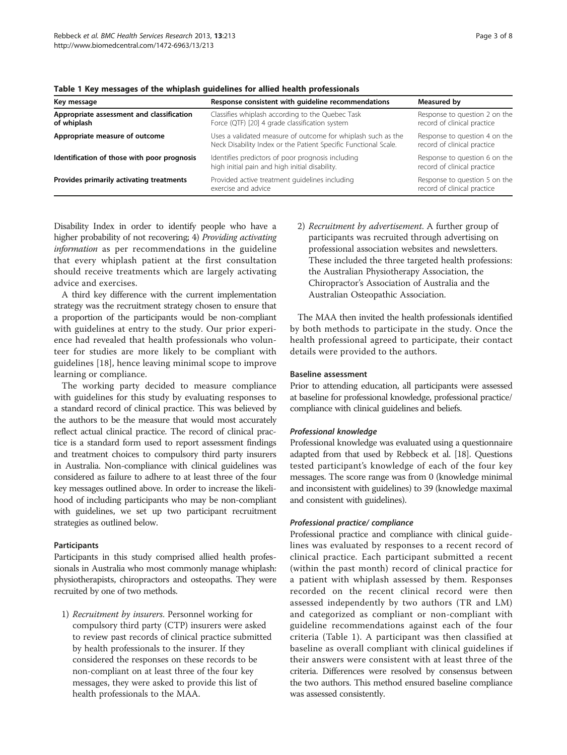| Key message                                              | Response consistent with quideline recommendations                                                                              | Measured by                                                  |
|----------------------------------------------------------|---------------------------------------------------------------------------------------------------------------------------------|--------------------------------------------------------------|
| Appropriate assessment and classification<br>of whiplash | Classifies whiplash according to the Quebec Task<br>Force (QTF) [20] 4 grade classification system                              | Response to question 2 on the<br>record of clinical practice |
| Appropriate measure of outcome                           | Uses a validated measure of outcome for whiplash such as the<br>Neck Disability Index or the Patient Specific Functional Scale. | Response to question 4 on the<br>record of clinical practice |
| Identification of those with poor prognosis              | Identifies predictors of poor prognosis including<br>high initial pain and high initial disability.                             | Response to question 6 on the<br>record of clinical practice |
| Provides primarily activating treatments                 | Provided active treatment quidelines including<br>exercise and advice                                                           | Response to question 5 on the<br>record of clinical practice |

<span id="page-2-0"></span>Table 1 Key messages of the whiplash guidelines for allied health professionals

Disability Index in order to identify people who have a higher probability of not recovering; 4) Providing activating information as per recommendations in the guideline that every whiplash patient at the first consultation should receive treatments which are largely activating advice and exercises.

A third key difference with the current implementation strategy was the recruitment strategy chosen to ensure that a proportion of the participants would be non-compliant with guidelines at entry to the study. Our prior experience had revealed that health professionals who volunteer for studies are more likely to be compliant with guidelines [[18\]](#page-7-0), hence leaving minimal scope to improve learning or compliance.

The working party decided to measure compliance with guidelines for this study by evaluating responses to a standard record of clinical practice. This was believed by the authors to be the measure that would most accurately reflect actual clinical practice. The record of clinical practice is a standard form used to report assessment findings and treatment choices to compulsory third party insurers in Australia. Non-compliance with clinical guidelines was considered as failure to adhere to at least three of the four key messages outlined above. In order to increase the likelihood of including participants who may be non-compliant with guidelines, we set up two participant recruitment strategies as outlined below.

#### Participants

Participants in this study comprised allied health professionals in Australia who most commonly manage whiplash: physiotherapists, chiropractors and osteopaths. They were recruited by one of two methods.

1) Recruitment by insurers. Personnel working for compulsory third party (CTP) insurers were asked to review past records of clinical practice submitted by health professionals to the insurer. If they considered the responses on these records to be non-compliant on at least three of the four key messages, they were asked to provide this list of health professionals to the MAA.

2) Recruitment by advertisement. A further group of participants was recruited through advertising on professional association websites and newsletters. These included the three targeted health professions: the Australian Physiotherapy Association, the Chiropractor's Association of Australia and the Australian Osteopathic Association.

The MAA then invited the health professionals identified by both methods to participate in the study. Once the health professional agreed to participate, their contact details were provided to the authors.

#### Baseline assessment

Prior to attending education, all participants were assessed at baseline for professional knowledge, professional practice/ compliance with clinical guidelines and beliefs.

# Professional knowledge

Professional knowledge was evaluated using a questionnaire adapted from that used by Rebbeck et al. [[18\]](#page-7-0). Questions tested participant's knowledge of each of the four key messages. The score range was from 0 (knowledge minimal and inconsistent with guidelines) to 39 (knowledge maximal and consistent with guidelines).

#### Professional practice/ compliance

Professional practice and compliance with clinical guidelines was evaluated by responses to a recent record of clinical practice. Each participant submitted a recent (within the past month) record of clinical practice for a patient with whiplash assessed by them. Responses recorded on the recent clinical record were then assessed independently by two authors (TR and LM) and categorized as compliant or non-compliant with guideline recommendations against each of the four criteria (Table 1). A participant was then classified at baseline as overall compliant with clinical guidelines if their answers were consistent with at least three of the criteria. Differences were resolved by consensus between the two authors. This method ensured baseline compliance was assessed consistently.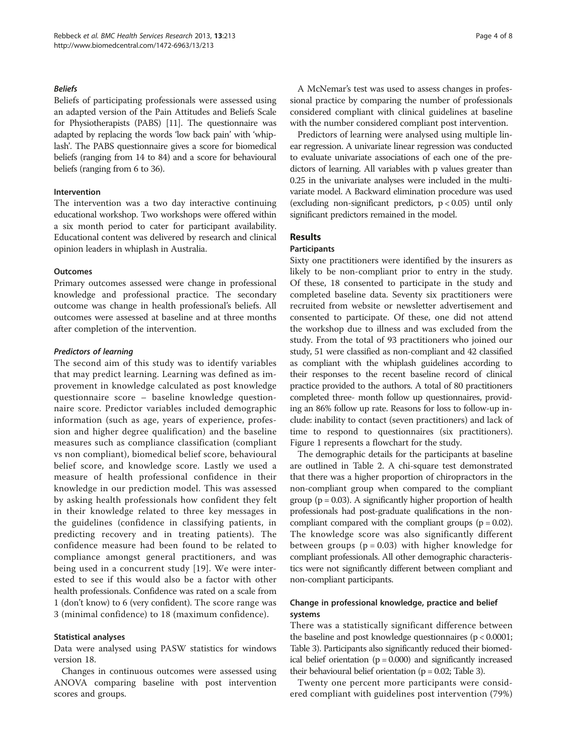#### Beliefs

Beliefs of participating professionals were assessed using an adapted version of the Pain Attitudes and Beliefs Scale for Physiotherapists (PABS) [\[11\]](#page-7-0). The questionnaire was adapted by replacing the words 'low back pain' with 'whiplash'. The PABS questionnaire gives a score for biomedical beliefs (ranging from 14 to 84) and a score for behavioural beliefs (ranging from 6 to 36).

#### Intervention

The intervention was a two day interactive continuing educational workshop. Two workshops were offered within a six month period to cater for participant availability. Educational content was delivered by research and clinical opinion leaders in whiplash in Australia.

#### **Outcomes**

Primary outcomes assessed were change in professional knowledge and professional practice. The secondary outcome was change in health professional's beliefs. All outcomes were assessed at baseline and at three months after completion of the intervention.

#### Predictors of learning

The second aim of this study was to identify variables that may predict learning. Learning was defined as improvement in knowledge calculated as post knowledge questionnaire score – baseline knowledge questionnaire score. Predictor variables included demographic information (such as age, years of experience, profession and higher degree qualification) and the baseline measures such as compliance classification (compliant vs non compliant), biomedical belief score, behavioural belief score, and knowledge score. Lastly we used a measure of health professional confidence in their knowledge in our prediction model. This was assessed by asking health professionals how confident they felt in their knowledge related to three key messages in the guidelines (confidence in classifying patients, in predicting recovery and in treating patients). The confidence measure had been found to be related to compliance amongst general practitioners, and was being used in a concurrent study [[19](#page-7-0)]. We were interested to see if this would also be a factor with other health professionals. Confidence was rated on a scale from 1 (don't know) to 6 (very confident). The score range was 3 (minimal confidence) to 18 (maximum confidence).

#### Statistical analyses

Data were analysed using PASW statistics for windows version 18.

Changes in continuous outcomes were assessed using ANOVA comparing baseline with post intervention scores and groups.

A McNemar's test was used to assess changes in professional practice by comparing the number of professionals considered compliant with clinical guidelines at baseline with the number considered compliant post intervention.

Predictors of learning were analysed using multiple linear regression. A univariate linear regression was conducted to evaluate univariate associations of each one of the predictors of learning. All variables with p values greater than 0.25 in the univariate analyses were included in the multivariate model. A Backward elimination procedure was used (excluding non-significant predictors,  $p < 0.05$ ) until only significant predictors remained in the model.

# Results

#### **Participants**

Sixty one practitioners were identified by the insurers as likely to be non-compliant prior to entry in the study. Of these, 18 consented to participate in the study and completed baseline data. Seventy six practitioners were recruited from website or newsletter advertisement and consented to participate. Of these, one did not attend the workshop due to illness and was excluded from the study. From the total of 93 practitioners who joined our study, 51 were classified as non-compliant and 42 classified as compliant with the whiplash guidelines according to their responses to the recent baseline record of clinical practice provided to the authors. A total of 80 practitioners completed three- month follow up questionnaires, providing an 86% follow up rate. Reasons for loss to follow-up include: inability to contact (seven practitioners) and lack of time to respond to questionnaires (six practitioners). Figure [1](#page-4-0) represents a flowchart for the study.

The demographic details for the participants at baseline are outlined in Table [2](#page-4-0). A chi-square test demonstrated that there was a higher proportion of chiropractors in the non-compliant group when compared to the compliant group ( $p = 0.03$ ). A significantly higher proportion of health professionals had post-graduate qualifications in the noncompliant compared with the compliant groups  $(p = 0.02)$ . The knowledge score was also significantly different between groups ( $p = 0.03$ ) with higher knowledge for compliant professionals. All other demographic characteristics were not significantly different between compliant and non-compliant participants.

# Change in professional knowledge, practice and belief systems

There was a statistically significant difference between the baseline and post knowledge questionnaires (p < 0.0001; Table [3\)](#page-5-0). Participants also significantly reduced their biomedical belief orientation ( $p = 0.000$ ) and significantly increased their behavioural belief orientation ( $p = 0.02$ ; Table [3\)](#page-5-0).

Twenty one percent more participants were considered compliant with guidelines post intervention (79%)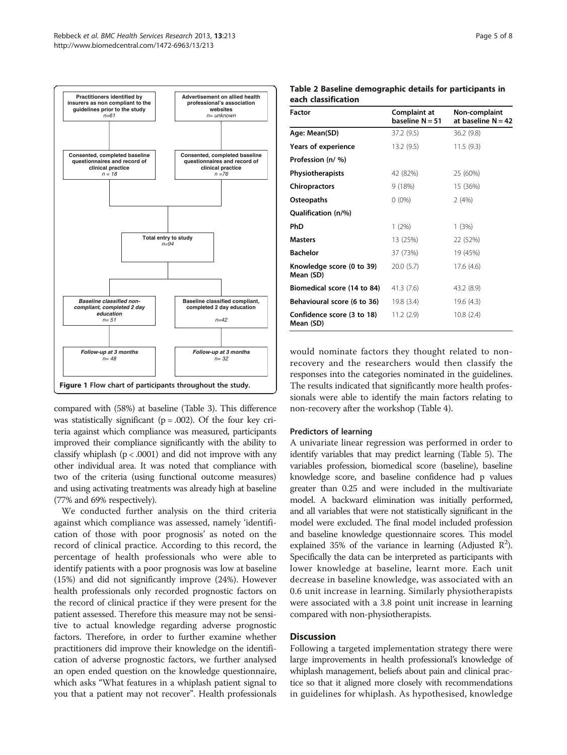<span id="page-4-0"></span>

compared with (58%) at baseline (Table [3\)](#page-5-0). This difference was statistically significant ( $p = .002$ ). Of the four key criteria against which compliance was measured, participants improved their compliance significantly with the ability to classify whiplash ( $p < .0001$ ) and did not improve with any other individual area. It was noted that compliance with two of the criteria (using functional outcome measures) and using activating treatments was already high at baseline (77% and 69% respectively).

We conducted further analysis on the third criteria against which compliance was assessed, namely 'identification of those with poor prognosis' as noted on the record of clinical practice. According to this record, the percentage of health professionals who were able to identify patients with a poor prognosis was low at baseline (15%) and did not significantly improve (24%). However health professionals only recorded prognostic factors on the record of clinical practice if they were present for the patient assessed. Therefore this measure may not be sensitive to actual knowledge regarding adverse prognostic factors. Therefore, in order to further examine whether practitioners did improve their knowledge on the identification of adverse prognostic factors, we further analysed an open ended question on the knowledge questionnaire, which asks "What features in a whiplash patient signal to you that a patient may not recover". Health professionals

| Page 5 of 8 |  |  |  |
|-------------|--|--|--|
|-------------|--|--|--|

| each ciassincation                      |                                   |                                       |  |
|-----------------------------------------|-----------------------------------|---------------------------------------|--|
| Factor                                  | Complaint at<br>baseline $N = 51$ | Non-complaint<br>at baseline $N = 42$ |  |
| Age: Mean(SD)                           | 37.2 (9.5)                        | 36.2(9.8)                             |  |
| <b>Years of experience</b>              | 13.2(9.5)                         | 11.5(9.3)                             |  |
| Profession (n/ %)                       |                                   |                                       |  |
| Physiotherapists                        | 42 (82%)                          | 25 (60%)                              |  |
| <b>Chiropractors</b>                    | 9 (18%)                           | 15 (36%)                              |  |
| Osteopaths                              | $0(0\%)$                          | 2(4%)                                 |  |
| Qualification (n/%)                     |                                   |                                       |  |
| PhD                                     | $1(2\%)$                          | 1(3%)                                 |  |
| <b>Masters</b>                          | 13 (25%)                          | 22 (52%)                              |  |
| <b>Bachelor</b>                         | 37 (73%)                          | 19 (45%)                              |  |
| Knowledge score (0 to 39)<br>Mean (SD)  | 20.0(5.7)                         | 17.6 (4.6)                            |  |
| Biomedical score (14 to 84)             | 41.3(7.6)                         | 43.2 (8.9)                            |  |
| Behavioural score (6 to 36)             | 19.8 (3.4)                        | 19.6 (4.3)                            |  |
| Confidence score (3 to 18)<br>Mean (SD) | 11.2(2.9)                         | 10.8(2.4)                             |  |

Table 2 Baseline demographic details for participants in each classification

would nominate factors they thought related to nonrecovery and the researchers would then classify the responses into the categories nominated in the guidelines. The results indicated that significantly more health professionals were able to identify the main factors relating to non-recovery after the workshop (Table [4\)](#page-5-0).

#### Predictors of learning

A univariate linear regression was performed in order to identify variables that may predict learning (Table [5\)](#page-5-0). The variables profession, biomedical score (baseline), baseline knowledge score, and baseline confidence had p values greater than 0.25 and were included in the multivariate model. A backward elimination was initially performed, and all variables that were not statistically significant in the model were excluded. The final model included profession and baseline knowledge questionnaire scores. This model explained 35% of the variance in learning (Adjusted  $R^2$ ). Specifically the data can be interpreted as participants with lower knowledge at baseline, learnt more. Each unit decrease in baseline knowledge, was associated with an 0.6 unit increase in learning. Similarly physiotherapists were associated with a 3.8 point unit increase in learning compared with non-physiotherapists.

#### **Discussion**

Following a targeted implementation strategy there were large improvements in health professional's knowledge of whiplash management, beliefs about pain and clinical practice so that it aligned more closely with recommendations in guidelines for whiplash. As hypothesised, knowledge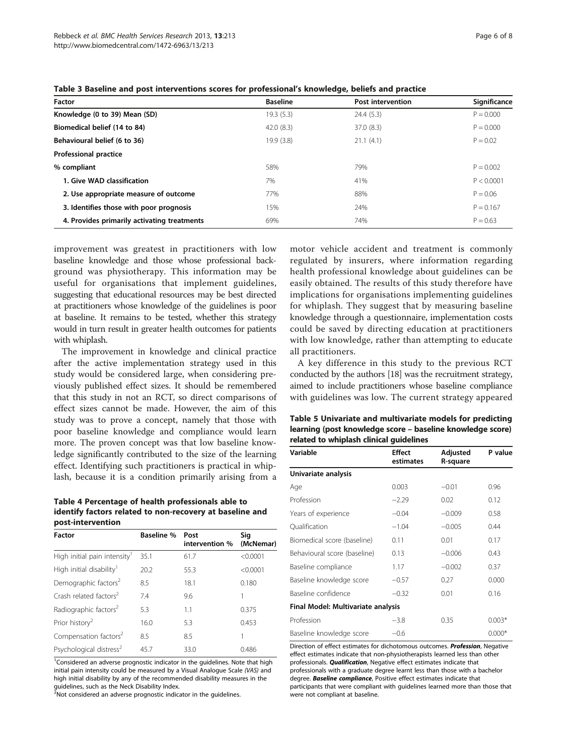| <b>Factor</b>                               | <b>Baseline</b> | <b>Post intervention</b> | Significance |
|---------------------------------------------|-----------------|--------------------------|--------------|
| Knowledge (0 to 39) Mean (SD)               | 19.3 (5.3)      | 24.4(5.3)                | $P = 0.000$  |
| Biomedical belief (14 to 84)                | 42.0(8.3)       | 37.0(8.3)                | $P = 0.000$  |
| Behavioural belief (6 to 36)                | 19.9 (3.8)      | 21.1(4.1)                | $P = 0.02$   |
| <b>Professional practice</b>                |                 |                          |              |
| % compliant                                 | 58%             | 79%                      | $P = 0.002$  |
| 1. Give WAD classification                  | 7%              | 41%                      | P < 0.0001   |
| 2. Use appropriate measure of outcome       | 77%             | 88%                      | $P = 0.06$   |
| 3. Identifies those with poor prognosis     | 15%             | 24%                      | $P = 0.167$  |
| 4. Provides primarily activating treatments | 69%             | 74%                      | $P = 0.63$   |
|                                             |                 |                          |              |

<span id="page-5-0"></span>Table 3 Baseline and post interventions scores for professional's knowledge, beliefs and practice

improvement was greatest in practitioners with low baseline knowledge and those whose professional background was physiotherapy. This information may be useful for organisations that implement guidelines, suggesting that educational resources may be best directed at practitioners whose knowledge of the guidelines is poor at baseline. It remains to be tested, whether this strategy would in turn result in greater health outcomes for patients with whiplash.

The improvement in knowledge and clinical practice after the active implementation strategy used in this study would be considered large, when considering previously published effect sizes. It should be remembered that this study in not an RCT, so direct comparisons of effect sizes cannot be made. However, the aim of this study was to prove a concept, namely that those with poor baseline knowledge and compliance would learn more. The proven concept was that low baseline knowledge significantly contributed to the size of the learning effect. Identifying such practitioners is practical in whiplash, because it is a condition primarily arising from a

Table 4 Percentage of health professionals able to identify factors related to non-recovery at baseline and post-intervention

| Factor                               | <b>Baseline %</b> | Post<br>intervention % | Sig<br>(McNemar) |
|--------------------------------------|-------------------|------------------------|------------------|
| High initial pain intensity'         | 35.1              | 61.7                   | < 0.0001         |
| High initial disability <sup>1</sup> | 20.2              | 55.3                   | < 0.0001         |
| Demographic factors <sup>2</sup>     | 8.5               | 18.1                   | 0.180            |
| Crash related factors <sup>2</sup>   | 7.4               | 9.6                    |                  |
| Radiographic factors <sup>2</sup>    | 5.3               | 1.1                    | 0.375            |
| Prior history <sup>2</sup>           | 16.0              | 5.3                    | 0.453            |
| Compensation factors <sup>2</sup>    | 8.5               | 8.5                    |                  |
| Psychological distress <sup>2</sup>  | 45.7              | 33.0                   | 0.486            |

<sup>1</sup>Considered an adverse prognostic indicator in the guidelines. Note that high initial pain intensity could be measured by a Visual Analogue Scale (VAS) and high initial disability by any of the recommended disability measures in the guidelines, such as the Neck Disability Index.

 $^2$ Not considered an adverse prognostic indicator in the guidelines.

motor vehicle accident and treatment is commonly regulated by insurers, where information regarding health professional knowledge about guidelines can be easily obtained. The results of this study therefore have implications for organisations implementing guidelines for whiplash. They suggest that by measuring baseline knowledge through a questionnaire, implementation costs could be saved by directing education at practitioners with low knowledge, rather than attempting to educate all practitioners.

A key difference in this study to the previous RCT conducted by the authors [\[18](#page-7-0)] was the recruitment strategy, aimed to include practitioners whose baseline compliance with guidelines was low. The current strategy appeared

| Table 5 Univariate and multivariate models for predicting  |
|------------------------------------------------------------|
| learning (post knowledge score – baseline knowledge score) |
| related to whiplash clinical quidelines                    |

| Variable                           | Effect<br>estimates | Adjusted<br>R-square | P value  |
|------------------------------------|---------------------|----------------------|----------|
| Univariate analysis                |                     |                      |          |
| Age                                | 0.003               | $-0.01$              | 0.96     |
| Profession                         | $-2.29$             | 0.02                 | 0.12     |
| Years of experience                | $-0.04$             | $-0.009$             | 0.58     |
| Qualification                      | $-1.04$             | $-0.005$             | 0.44     |
| Biomedical score (baseline)        | 0.11                | 0.01                 | 0.17     |
| Behavioural score (baseline)       | 0.13                | $-0.006$             | 0.43     |
| Baseline compliance                | 1.17                | $-0.002$             | 0.37     |
| Baseline knowledge score           | $-0.57$             | 0.27                 | 0.000    |
| Baseline confidence                | $-0.32$             | 0.01                 | 0.16     |
| Final Model: Multivariate analysis |                     |                      |          |
| Profession                         | $-3.8$              | 0.35                 | $0.003*$ |
| Baseline knowledge score           | $-0.6$              |                      | $0.000*$ |

Direction of effect estimates for dichotomous outcomes. Profession, Negative effect estimates indicate that non-physiotherapists learned less than other professionals. **Qualification**, Negative effect estimates indicate that professionals with a graduate degree learnt less than those with a bachelor degree. Baseline compliance, Positive effect estimates indicate that participants that were compliant with guidelines learned more than those that were not compliant at baseline.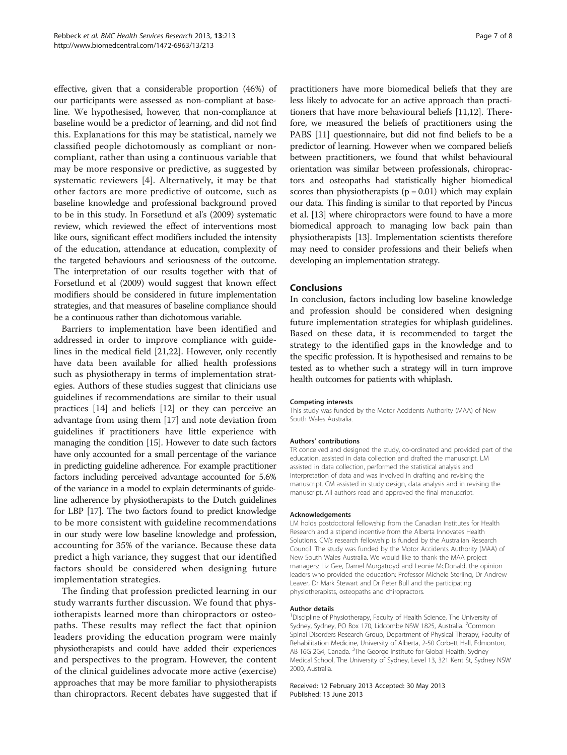effective, given that a considerable proportion (46%) of our participants were assessed as non-compliant at baseline. We hypothesised, however, that non-compliance at baseline would be a predictor of learning, and did not find this. Explanations for this may be statistical, namely we classified people dichotomously as compliant or noncompliant, rather than using a continuous variable that may be more responsive or predictive, as suggested by systematic reviewers [\[4](#page-7-0)]. Alternatively, it may be that other factors are more predictive of outcome, such as baseline knowledge and professional background proved to be in this study. In Forsetlund et al's (2009) systematic review, which reviewed the effect of interventions most like ours, significant effect modifiers included the intensity of the education, attendance at education, complexity of the targeted behaviours and seriousness of the outcome. The interpretation of our results together with that of Forsetlund et al (2009) would suggest that known effect modifiers should be considered in future implementation strategies, and that measures of baseline compliance should be a continuous rather than dichotomous variable.

Barriers to implementation have been identified and addressed in order to improve compliance with guidelines in the medical field [\[21,22](#page-7-0)]. However, only recently have data been available for allied health professions such as physiotherapy in terms of implementation strategies. Authors of these studies suggest that clinicians use guidelines if recommendations are similar to their usual practices [\[14](#page-7-0)] and beliefs [\[12\]](#page-7-0) or they can perceive an advantage from using them [\[17](#page-7-0)] and note deviation from guidelines if practitioners have little experience with managing the condition [[15](#page-7-0)]. However to date such factors have only accounted for a small percentage of the variance in predicting guideline adherence. For example practitioner factors including perceived advantage accounted for 5.6% of the variance in a model to explain determinants of guideline adherence by physiotherapists to the Dutch guidelines for LBP [\[17\]](#page-7-0). The two factors found to predict knowledge to be more consistent with guideline recommendations in our study were low baseline knowledge and profession, accounting for 35% of the variance. Because these data predict a high variance, they suggest that our identified factors should be considered when designing future implementation strategies.

The finding that profession predicted learning in our study warrants further discussion. We found that physiotherapists learned more than chiropractors or osteopaths. These results may reflect the fact that opinion leaders providing the education program were mainly physiotherapists and could have added their experiences and perspectives to the program. However, the content of the clinical guidelines advocate more active (exercise) approaches that may be more familiar to physiotherapists than chiropractors. Recent debates have suggested that if

practitioners have more biomedical beliefs that they are less likely to advocate for an active approach than practitioners that have more behavioural beliefs [\[11,12\]](#page-7-0). Therefore, we measured the beliefs of practitioners using the PABS [\[11\]](#page-7-0) questionnaire, but did not find beliefs to be a predictor of learning. However when we compared beliefs between practitioners, we found that whilst behavioural orientation was similar between professionals, chiropractors and osteopaths had statistically higher biomedical scores than physiotherapists  $(p = 0.01)$  which may explain our data. This finding is similar to that reported by Pincus et al. [\[13\]](#page-7-0) where chiropractors were found to have a more biomedical approach to managing low back pain than physiotherapists [\[13\]](#page-7-0). Implementation scientists therefore may need to consider professions and their beliefs when developing an implementation strategy.

#### Conclusions

In conclusion, factors including low baseline knowledge and profession should be considered when designing future implementation strategies for whiplash guidelines. Based on these data, it is recommended to target the strategy to the identified gaps in the knowledge and to the specific profession. It is hypothesised and remains to be tested as to whether such a strategy will in turn improve health outcomes for patients with whiplash.

#### Competing interests

This study was funded by the Motor Accidents Authority (MAA) of New South Wales Australia.

#### Authors' contributions

TR conceived and designed the study, co-ordinated and provided part of the education, assisted in data collection and drafted the manuscript. LM assisted in data collection, performed the statistical analysis and interpretation of data and was involved in drafting and revising the manuscript. CM assisted in study design, data analysis and in revising the manuscript. All authors read and approved the final manuscript.

#### Acknowledgements

LM holds postdoctoral fellowship from the Canadian Institutes for Health Research and a stipend incentive from the Alberta Innovates Health Solutions. CM's research fellowship is funded by the Australian Research Council. The study was funded by the Motor Accidents Authority (MAA) of New South Wales Australia. We would like to thank the MAA project managers: Liz Gee, Darnel Murgatroyd and Leonie McDonald, the opinion leaders who provided the education: Professor Michele Sterling, Dr Andrew Leaver, Dr Mark Stewart and Dr Peter Bull and the participating physiotherapists, osteopaths and chiropractors.

#### Author details

<sup>1</sup> Discipline of Physiotherapy, Faculty of Health Science, The University of Sydney, Sydney, PO Box 170, Lidcombe NSW 1825, Australia. <sup>2</sup>Common Spinal Disorders Research Group, Department of Physical Therapy, Faculty of Rehabilitation Medicine, University of Alberta, 2-50 Corbett Hall, Edmonton, AB T6G 2G4, Canada. <sup>3</sup>The George Institute for Global Health, Sydney Medical School, The University of Sydney, Level 13, 321 Kent St, Sydney NSW 2000, Australia.

Received: 12 February 2013 Accepted: 30 May 2013 Published: 13 June 2013